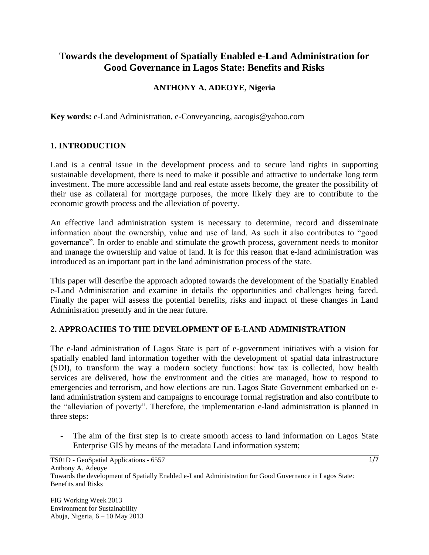# **Towards the development of Spatially Enabled e-Land Administration for Good Governance in Lagos State: Benefits and Risks**

# **ANTHONY A. ADEOYE, Nigeria**

**Key words:** e-Land Administration, e-Conveyancing, aacogis@yahoo.com

### **1. INTRODUCTION**

Land is a central issue in the development process and to secure land rights in supporting sustainable development, there is need to make it possible and attractive to undertake long term investment. The more accessible land and real estate assets become, the greater the possibility of their use as collateral for mortgage purposes, the more likely they are to contribute to the economic growth process and the alleviation of poverty.

An effective land administration system is necessary to determine, record and disseminate information about the ownership, value and use of land. As such it also contributes to "good governance". In order to enable and stimulate the growth process, government needs to monitor and manage the ownership and value of land. It is for this reason that e-land administration was introduced as an important part in the land administration process of the state.

This paper will describe the approach adopted towards the development of the Spatially Enabled e-Land Administration and examine in details the opportunities and challenges being faced. Finally the paper will assess the potential benefits, risks and impact of these changes in Land Adminisration presently and in the near future.

#### **2. APPROACHES TO THE DEVELOPMENT OF E-LAND ADMINISTRATION**

The e-land administration of Lagos State is part of e-government initiatives with a vision for spatially enabled land information together with the development of spatial data infrastructure (SDI), to transform the way a modern society functions: how tax is collected, how health services are delivered, how the environment and the cities are managed, how to respond to emergencies and terrorism, and how elections are run. Lagos State Government embarked on eland administration system and campaigns to encourage formal registration and also contribute to the "alleviation of poverty". Therefore, the implementation e-land administration is planned in three steps:

The aim of the first step is to create smooth access to land information on Lagos State Enterprise GIS by means of the metadata Land information system;

FIG Working Week 2013 Environment for Sustainability Abuja, Nigeria, 6 – 10 May 2013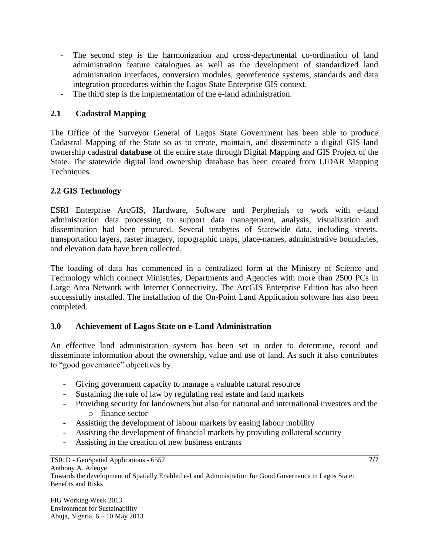- The second step is the harmonization and cross-departmental co-ordination of land administration feature catalogues as well as the development of standardized land administration interfaces, conversion modules, georeference systems, standards and data integration procedures within the Lagos State Enterprise GIS context.
- The third step is the implementation of the e-land administration.

# **2.1 Cadastral Mapping**

The Office of the Surveyor General of Lagos State Government has been able to produce Cadastral Mapping of the State so as to create, maintain, and disseminate a digital GIS land ownership cadastral **database** of the entire state through Digital Mapping and GIS Project of the State. The statewide digital land ownership database has been created from LIDAR Mapping Techniques.

# **2.2 GIS Technology**

ESRI Enterprise ArcGIS, Hardware, Software and Perpherials to work with e-land administration data processing to support data management, analysis, visualization and dissemination had been procured. Several terabytes of Statewide data, including streets, transportation layers, raster imagery, topographic maps, place-names, administrative boundaries, and elevation data have been collected.

The loading of data has commenced in a centralized form at the Ministry of Science and Technology which connect Ministries, Departments and Agencies with more than 2500 PCs in Large Area Network with Internet Connectivity. The ArcGIS Enterprise Edition has also been successfully installed. The installation of the On-Point Land Application software has also been completed.

# **3.0 Achievement of Lagos State on e-Land Administration**

An effective land administration system has been set in order to determine, record and disseminate information about the ownership, value and use of land. As such it also contributes to "good governance" objectives by:

- Giving government capacity to manage a valuable natural resource
- Sustaining the rule of law by regulating real estate and land markets
- Providing security for landowners but also for national and international investors and the o finance sector
- Assisting the development of labour markets by easing labour mobility
- Assisting the development of financial markets by providing collateral security
- Assisting in the creation of new business entrants

TS01D - GeoSpatial Applications - 6557 Anthony A. Adeoye

Towards the development of Spatially Enabled e-Land Administration for Good Governance in Lagos State: Benefits and Risks

FIG Working Week 2013 Environment for Sustainability Abuja, Nigeria, 6 – 10 May 2013 2/7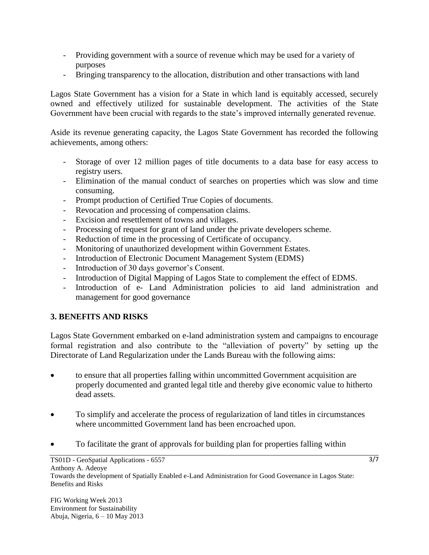- Providing government with a source of revenue which may be used for a variety of purposes
- Bringing transparency to the allocation, distribution and other transactions with land

Lagos State Government has a vision for a State in which land is equitably accessed, securely owned and effectively utilized for sustainable development. The activities of the State Government have been crucial with regards to the state's improved internally generated revenue.

Aside its revenue generating capacity, the Lagos State Government has recorded the following achievements, among others:

- Storage of over 12 million pages of title documents to a data base for easy access to registry users.
- Elimination of the manual conduct of searches on properties which was slow and time consuming.
- Prompt production of Certified True Copies of documents.
- Revocation and processing of compensation claims.
- Excision and resettlement of towns and villages.
- Processing of request for grant of land under the private developers scheme.
- Reduction of time in the processing of Certificate of occupancy.
- Monitoring of unauthorized development within Government Estates.
- Introduction of Electronic Document Management System (EDMS)
- Introduction of 30 days governor's Consent.
- Introduction of Digital Mapping of Lagos State to complement the effect of EDMS.
- Introduction of e- Land Administration policies to aid land administration and management for good governance

# **3. BENEFITS AND RISKS**

Lagos State Government embarked on e-land administration system and campaigns to encourage formal registration and also contribute to the "alleviation of poverty" by setting up the Directorate of Land Regularization under the Lands Bureau with the following aims:

- to ensure that all properties falling within uncommitted Government acquisition are properly documented and granted legal title and thereby give economic value to hitherto dead assets.
- To simplify and accelerate the process of regularization of land titles in circumstances where uncommitted Government land has been encroached upon.
- To facilitate the grant of approvals for building plan for properties falling within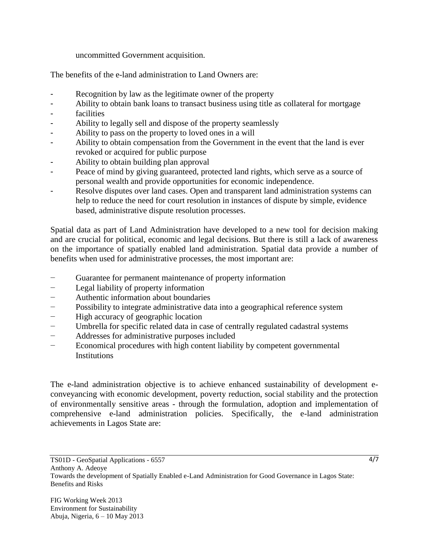#### uncommitted Government acquisition.

The benefits of the e-land administration to Land Owners are:

- Recognition by law as the legitimate owner of the property
- Ability to obtain bank loans to transact business using title as collateral for mortgage
- facilities
- Ability to legally sell and dispose of the property seamlessly
- Ability to pass on the property to loved ones in a will
- Ability to obtain compensation from the Government in the event that the land is ever revoked or acquired for public purpose
- Ability to obtain building plan approval
- Peace of mind by giving guaranteed, protected land rights, which serve as a source of personal wealth and provide opportunities for economic independence.
- Resolve disputes over land cases. Open and transparent land administration systems can help to reduce the need for court resolution in instances of dispute by simple, evidence based, administrative dispute resolution processes.

Spatial data as part of Land Administration have developed to a new tool for decision making and are crucial for political, economic and legal decisions. But there is still a lack of awareness on the importance of spatially enabled land administration. Spatial data provide a number of benefits when used for administrative processes, the most important are:

- Guarantee for permanent maintenance of property information
- Legal liability of property information
- − Authentic information about boundaries
- − Possibility to integrate administrative data into a geographical reference system
- − High accuracy of geographic location
- Umbrella for specific related data in case of centrally regulated cadastral systems
- − Addresses for administrative purposes included
- − Economical procedures with high content liability by competent governmental **Institutions**

The e-land administration objective is to achieve enhanced sustainability of development econveyancing with economic development, poverty reduction, social stability and the protection of environmentally sensitive areas - through the formulation, adoption and implementation of comprehensive e-land administration policies. Specifically, the e-land administration achievements in Lagos State are:

Anthony A. Adeoye

Towards the development of Spatially Enabled e-Land Administration for Good Governance in Lagos State: Benefits and Risks

TS01D - GeoSpatial Applications - 6557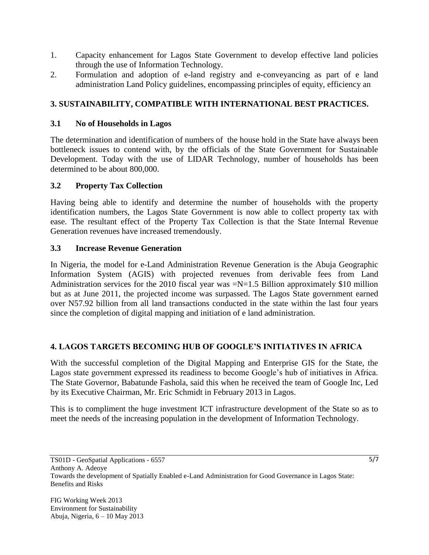- 1. Capacity enhancement for Lagos State Government to develop effective land policies through the use of Information Technology.
- 2. Formulation and adoption of e-land registry and e-conveyancing as part of e land administration Land Policy guidelines, encompassing principles of equity, efficiency an

# **3. SUSTAINABILITY, COMPATIBLE WITH INTERNATIONAL BEST PRACTICES.**

### **3.1 No of Households in Lagos**

The determination and identification of numbers of the house hold in the State have always been bottleneck issues to contend with, by the officials of the State Government for Sustainable Development. Today with the use of LIDAR Technology, number of households has been determined to be about 800,000.

### **3.2 Property Tax Collection**

Having being able to identify and determine the number of households with the property identification numbers, the Lagos State Government is now able to collect property tax with ease. The resultant effect of the Property Tax Collection is that the State Internal Revenue Generation revenues have increased tremendously.

### **3.3 Increase Revenue Generation**

In Nigeria, the model for e-Land Administration Revenue Generation is the Abuja Geographic Information System (AGIS) with projected revenues from derivable fees from Land Administration services for the 2010 fiscal year was  $=N=1.5$  Billion approximately \$10 million but as at June 2011, the projected income was surpassed. The Lagos State government earned over N57.92 billion from all land transactions conducted in the state within the last four years since the completion of digital mapping and initiation of e land administration.

# **4. LAGOS TARGETS BECOMING HUB OF GOOGLE'S INITIATIVES IN AFRICA**

With the successful completion of the Digital Mapping and Enterprise GIS for the State, the Lagos state government expressed its readiness to become Google's hub of initiatives in Africa. The State Governor, Babatunde Fashola, said this when he received the team of Google Inc, Led by its Executive Chairman, Mr. Eric Schmidt in February 2013 in Lagos.

This is to compliment the huge investment ICT infrastructure development of the State so as to meet the needs of the increasing population in the development of Information Technology.

Anthony A. Adeoye

5/7

TS01D - GeoSpatial Applications - 6557

Towards the development of Spatially Enabled e-Land Administration for Good Governance in Lagos State: Benefits and Risks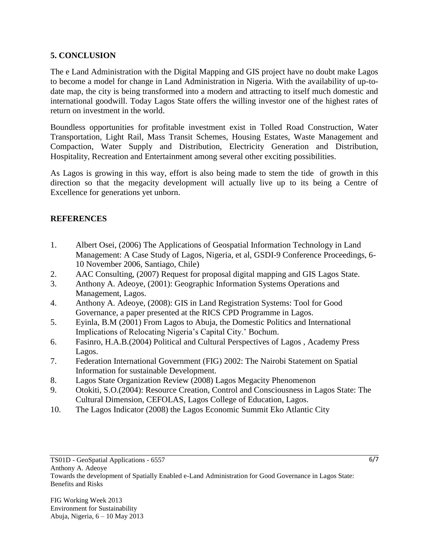# **5. CONCLUSION**

The e Land Administration with the Digital Mapping and GIS project have no doubt make Lagos to become a model for change in Land Administration in Nigeria. With the availability of up-todate map, the city is being transformed into a modern and attracting to itself much domestic and international goodwill. Today Lagos State offers the willing investor one of the highest rates of return on investment in the world.

Boundless opportunities for profitable investment exist in Tolled Road Construction, Water Transportation, Light Rail, Mass Transit Schemes, Housing Estates, Waste Management and Compaction, Water Supply and Distribution, Electricity Generation and Distribution, Hospitality, Recreation and Entertainment among several other exciting possibilities.

As Lagos is growing in this way, effort is also being made to stem the tide of growth in this direction so that the megacity development will actually live up to its being a Centre of Excellence for generations yet unborn.

# **REFERENCES**

- 1. Albert Osei, (2006) The Applications of Geospatial Information Technology in Land Management: A Case Study of Lagos, Nigeria, et al, GSDI-9 Conference Proceedings, 6- 10 November 2006, Santiago, Chile)
- 2. AAC Consulting, (2007) Request for proposal digital mapping and GIS Lagos State.
- 3. Anthony A. Adeoye, (2001): Geographic Information Systems Operations and Management, Lagos.
- 4. Anthony A. Adeoye, (2008): GIS in Land Registration Systems: Tool for Good Governance, a paper presented at the RICS CPD Programme in Lagos.
- 5. Eyinla, B.M (2001) From Lagos to Abuja, the Domestic Politics and International Implications of Relocating Nigeria's Capital City.' Bochum.
- 6. Fasinro, H.A.B.(2004) Political and Cultural Perspectives of Lagos , Academy Press Lagos.
- 7. Federation International Government (FIG) 2002: The Nairobi Statement on Spatial Information for sustainable Development.
- 8. Lagos State Organization Review (2008) Lagos Megacity Phenomenon
- 9. Otokiti, S.O.(2004): Resource Creation, Control and Consciousness in Lagos State: The Cultural Dimension, CEFOLAS, Lagos College of Education, Lagos.
- 10. The Lagos Indicator (2008) the Lagos Economic Summit Eko Atlantic City

Anthony A. Adeoye

Towards the development of Spatially Enabled e-Land Administration for Good Governance in Lagos State: Benefits and Risks

6/7

TS01D - GeoSpatial Applications - 6557